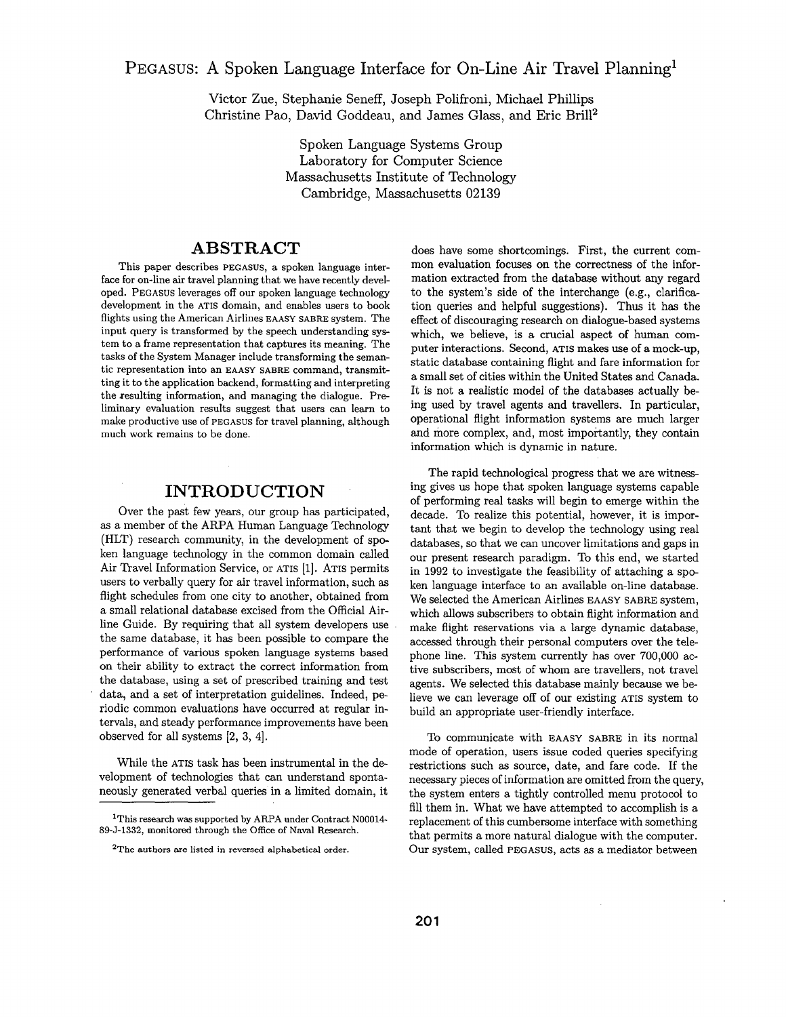**PEGASUS:** A Spoken Language Interface for On-Line Air Travel Planning<sup>1</sup>

Victor Zue, Stephanie Seneff, Joseph Polifroni, Michael Phillips Christine Pao, David Goddeau, and James Glass, and Eric Brill<sup>2</sup>

> Spoken Language Systems Group Laboratory for Computer Science Massachusetts Institute of Technology Cambridge, Massachusetts 02139

# **ABSTRACT**

This paper describes PEGASUS, a spoken language interface for on-line air travel planning that we have recently developed. PEGASUS leverages off our spoken language technology development in the ATIS domain, and enables users to book flights using the American Airlines EAASY SABRE system. The input query is transformed by the speech understanding system to a frame representation that captures its meaning. The tasks of the System Manager include transforming the semantic representation into an EAASY SABRE command, transmitting it to the application backend, formatting and interpreting the xesulting information, and managing the dialogue. Preliminary evaluation results suggest that users can learn to make productive use of PEGASUS for travel planning, although much work remains to be done.

## **INTRODUCTION**

Over the past few years, our group has participated, as a member of the ARPA Human Language Technology (HLT) research community, in the development of spoken language technology in the common domain called Air Travel Information Service, or ATIS [1]. ATIS permits users to verbally query for air travel information, such as flight schedules from one city to another, obtained from a small relational database excised from the Official Airline Guide. By requiring that all system developers use the same database, it has been possible to compare the performance of various spoken language systems based on their ability to extract the correct information from the database, using a set of prescribed training and test data, and a set of interpretation guidelines. Indeed, periodic common evaluations have occurred at regular intervals, and steady performance improvements have been observed for all systems [2, 3, 4].

While the ATIS task has been instrumental in the development of technologies that can understand spontaneously generated verbal queries in a limited domain, it

does have some shortcomings. First, the current common evaluation focuses on the correctness of the information extracted from the database without any regard to the system's side of the interchange (e.g., clarification queries and helpful suggestions). Thus it has the effect of discouraging research on dialogue-based systems which, we believe, is a crucial aspect of human computer interactions. Second, ATIS makes use of a mock-up, static database containing flight and fare information for a small set of cities within the United States and Canada. It is not a realistic model of the databases actually being used by travel agents and travellers. In particular, operational flight information systems are much larger and more complex, and, most importantly, they contain information which is dynamic in nature.

The rapid technological progress that we are witnessing gives us hope that spoken language systems capable of performing real tasks will begin to emerge within the decade. To realize this potential, however, it is important that we begin to develop the technology using real databases, so that we can uncover limitations and gaps in our present research paradigm. To this end, we started in 1992 to investigate the feasibility of attaching a spoken language interface to an available on-line database. We selected the American Airlines EAASY SABRE system, which allows subscribers to obtain flight information and make flight reservations via a large dynamic database, accessed through their personal computers over the telephone line. This system currently has over 700,000 active subscribers, most of whom are travellers, not travel agents. We selected this database mainly because we believe we can leverage off of our existing ATIS system to build an appropriate user-friendly interface.

To communicate with EAASY SABRE in its normal mode of operation, users issue coded queries specifying restrictions such as source, date, and fare code. If the necessary pieces of information are omitted from the query, the system enters a tightly controlled menu protocol to fill them in. What we have attempted to accomplish is a replacement of this cumbersome interface with something that permits a more natural dialogue with the computer. Our system, called PEGASUS, acts as a mediator between

<sup>1</sup>This research was supported by ARPA under Contract N00014- 89-J-1332, monitored through the Office of Naval Research.

<sup>&</sup>lt;sup>2</sup>The authors are listed in reversed alphabetical order.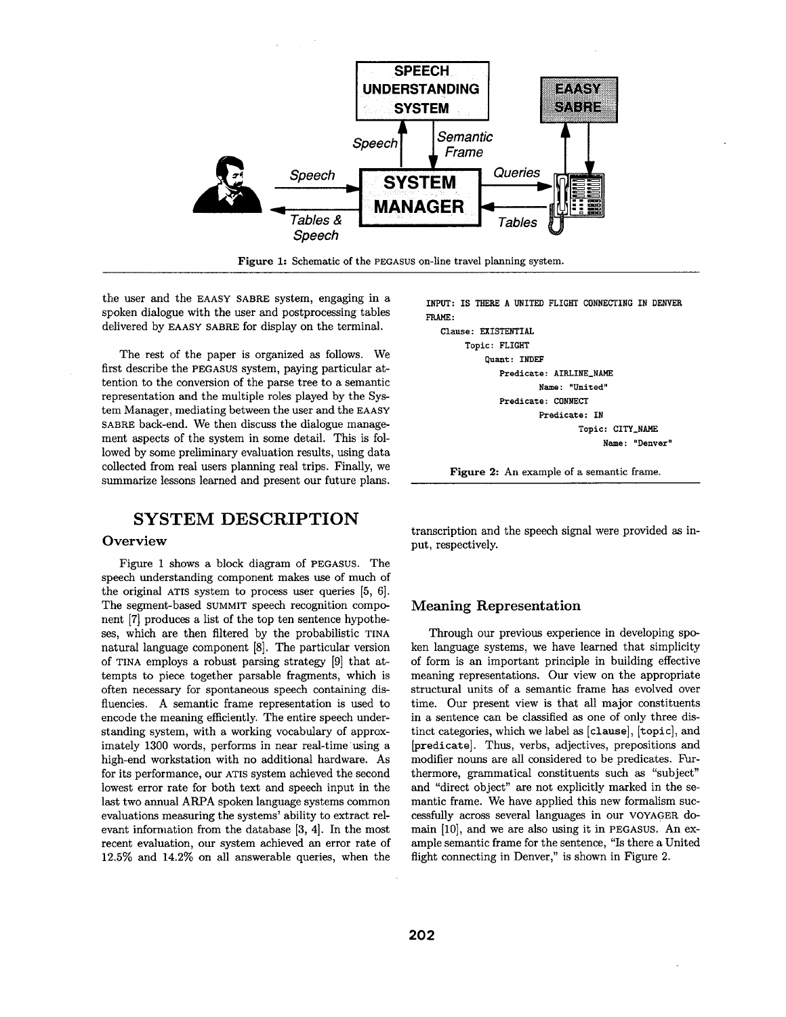

Figure 1: Schematic of the PEGASUS on-line travel planning system.

the user and the EAASY SABRE system, engaging in a spoken dialogue with the user and postprocessing tables delivered by EAASY SABRE for display on the terminal.

The rest of the paper is organized as follows. We first describe the PEGASUS system, paying particular attention to the conversion of the parse tree to a semantic representation and the multiple roles played by the System Manager, mediating between the user and the EAASY SABRE back-end. We then discuss the dialogue management aspects of the system in some detail. This is followed by some preliminary evaluation results, using data collected from real users planning real trips. Finally, we summarize lessons learned and present our future plans.

## **SYSTEM DESCRIPTION**

#### **Overview**

Figure 1 shows a block diagram of PEGASUS. The speech understanding component makes use of much of the original ATIS system to process user queries [5, 6]. The segment-based SUMMIT speech recognition component [7] produces a list of the top ten sentence hypotheses, which are then filtered by the probabilistic TINA natural language component [8]. The particular version of TINA employs a robust parsing strategy [9] that attempts to piece together parsable fragments, which is often necessary for spontaneous speech containing disfluencies. A semantic frame representation is used to encode the meaning efficiently. The entire speech understanding system, with a working vocabulary of approximately 1300 words, performs in near real-time using a high-end workstation with no additional hardware. As for its performance, our ATIS system achieved the second lowest error rate for both text and speech input in the last two annual ARPA spoken language systems common evaluations measuring the systems' ability to extract relevant information from the database [3, 4]. In the most recent evaluation, our system achieved an error rate of 12.5% and 14.2% on all answerable queries, when the

INPUT: IS THERE A UNITED FLIGHT CONNECTING IN DENVER FRAME:

**Clause** : EXISTENTIAL **Topic** : FLIGHT Quant : INDEF **Predicate:** AIRLINE\_NAME **Name** : "United" **Predicate:** CONNECT **Predicate:** IN Topic: CITY\_NAME **Name** : "Denver"

Figure 2: An example of a semantic frame.

transcription and the speech signal were provided as input, respectively.

### Meaning Representation

Through our previous experience in developing spoken language systems, we have learned that simplicity of form is an important principle in building effective meaning representations. Our view on the appropriate structural units of a semantic frame has evolved over time. Our present view is that all major constituents in a sentence can be classified as one of only three distinct categories, which we label as [clause], [topic], and [predicate]. Thus, verbs, adjectives, prepositions and modifier nouns are all considered to be predicates. Furthermore, grammatical constituents such as "subject" and "direct object" are not explicitly marked in the semantic frame. We have applied this new formalism successfully across several languages in our VOYAGER domain [10], and we are also using it in PEGASUS. An example semantic frame for the sentence, "Is there a United flight connecting in Denver," is shown in Figure 2.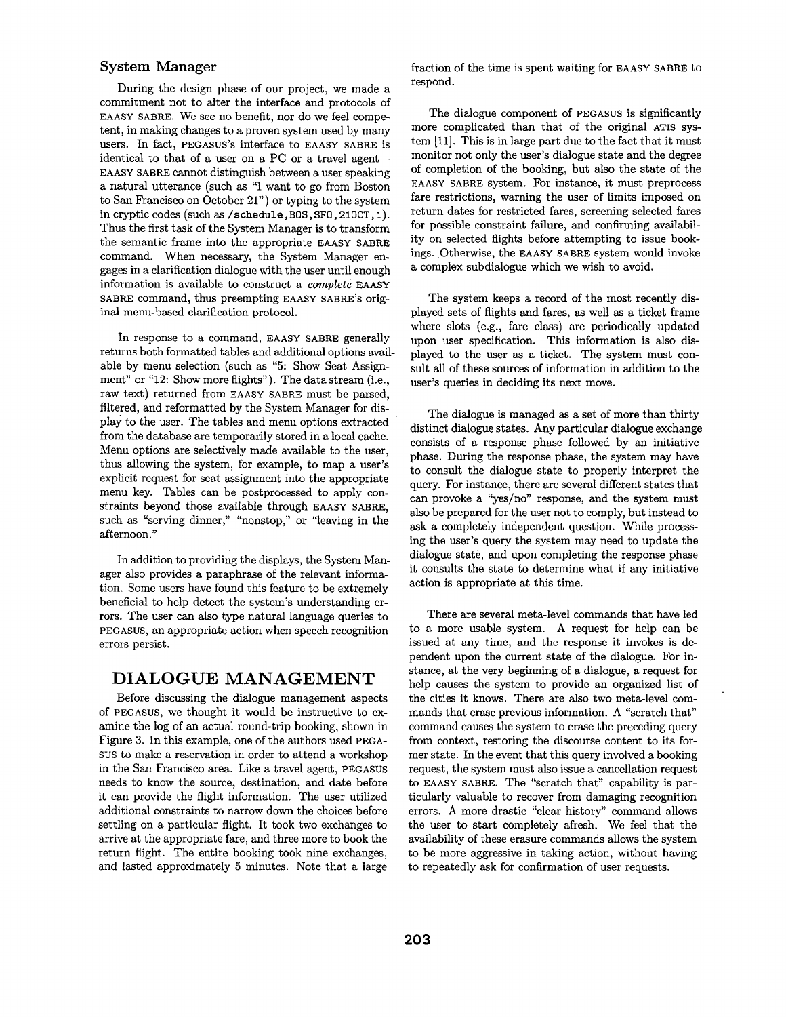#### System Manager

During the design phase of our project, we made a commitment not to alter the interface and protocols of EAASY SABRE. We see no benefit, nor do we feel competent, in making changes to a proven system used by many users. In fact, PEGASUS's interface to EAASY SABRE is identical to that of a user on a PC or a travel agent  $-$ EAASY SABRE cannot distinguish between a user speaking a natural utterance (such as "I want to go from Boston to San Francisco on October 21") or typing to the system in cryptic codes (such as/schedule, B0S, SF0,210CT, 1). Thus the first task of the System Manager is to transform the semantic frame into the appropriate EAASY SABRE command. When necessary, the System Manager engages in a clarification dialogue with the user until enough information is available to construct a *complete* EAASY SABRE command, thus preempting EAASY SABRE's original menu-based clarification protocol.

In response to a command, EAASY SABRE generally returns both formatted tables and additional options available by menu selection (such as "5: Show Seat Assignment" or "12: Show more flights"). The data stream (i.e., raw text) returned from EAASY SABRE must be parsed, filtered, and reformatted by the System Manager for display to the user. The tables and menu options extracted from the database are temporarily stored in a local cache. Menu options are selectively made available to the user, thus allowing the system, for example, to map a user's explicit request for seat assignment into the appropriate menu key. Tables can be postprocessed to apply constraints beyond those available through EAASY SABRE, such as "serving dinner," "nonstop," or "leaving in the afternoon."

In addition to providing the displays, the System Manager also provides a paraphrase of the relevant information. Some users have found this feature to be extremely beneficial to help detect the system's understanding errors. The user can also type natural language queries to PEGASUS, an appropriate action when speech recognition errors persist.

## DIALOGUE MANAGEMENT

Before discussing the dialogue management aspects of PEGASUS, we thought it would be instructive to examine the log of an actual round-trip booking, shown in Figure 3. In this example, one of the authors used PEGA-SUS to make a reservation in order to attend a workshop in the San Francisco area. Like a travel agent, PEGASUS needs to know the source, destination, and date before it can provide the flight information. The user utilized additional constraints to narrow down the choices before settling on a particular flight. It took two exchanges to arrive at the appropriate fare, and three more to book the return flight. The entire booking took nine exchanges, and lasted approximately 5 minutes. Note that a large fraction of the time is spent waiting for EAASY SABRE to respond.

The dialogue component of PEGASUS is significantly more complicated than that of the original ATIS system [11]. This is in large part due to the fact that it must monitor not only the user's dialogue state and the degree of completion of the booking, but also the state of the EAASY SABRE system. For instance, it must preprocess fare restrictions, warning the user of limits imposed on return dates for restricted fares, screening selected fares for possible constraint failure, and confirming availability on selected flights before attempting to issue bookings. Otherwise, the EAASY SABRE system would invoke a complex subdialogue which we wish to avoid.

The system keeps a record of the most recently displayed sets of flights and fares, as well as a ticket frame where slots (e.g., fare class) are periodically updated upon user specification. This information is also displayed to the user as a ticket. The system must consult all of these sources of information in addition to the user's queries in deciding its next move.

The dialogue is managed as a set of more than thirty distinct dialogue states. Any particular dialogue exchange consists of a response phase followed by an initiative phase. During the response phase, the system may have to consult the dialogue state to properly interpret the query. For instance, there are several different states that can provoke a "yes/no" response, and the system must also be prepared for the user not to comply, but instead to ask a completely independent question. While processing the user's query the system may need to update the dialogue state, and upon completing the response phase it consults the state to determine what if any initiative action is appropriate at this time.

There are several meta-level commands that have led to a more usable system. A request for help can be issued at any time, and the response it invokes is dependent upon the current state of the dialogue. For instance, at the very beginning of a dialogue, a request for help causes the system to provide an organized list of the cities it knows. There are also two meta-level commands that erase previous information. A "scratch that" command causes the system to erase the preceding query from context, restoring the discourse content to its former state. In the event that this query involved a booking request, the system must also issue a cancellation request to EAASY SABRE. The "scratch that" capability is particularly valuable to recover from damaging recognition errors. A more drastic "clear history" command allows the user to start completely afresh. We feel that the availability of these erasure commands allows the system to be more aggressive in taking action, without having to repeatedly ask for confirmation of user requests.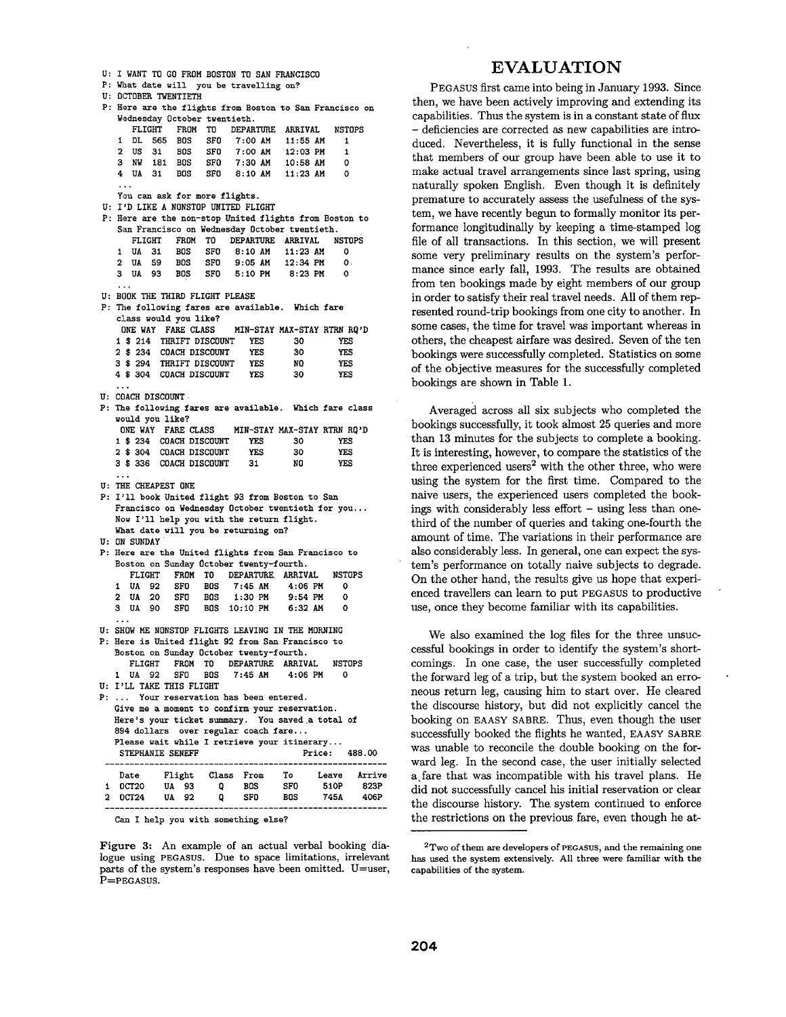```
U: I WANT TO GO FROM BOSTON TO SAN FRANCISCO 
P: What date will you be travelling on?
U: OCTOBER TWENTIETH 
P: Here are the flights from Boston to San Francisco on
   Wednesday October twentieth. 
                         DEPARTURE ARRIVAL NSTOPS
   i DL 565 BOS SFO 7:00 AM 11:55 AM 1 
   2 US 31 BOS SFD 7:00 AM 12:03 PM 1 
   3 NW 181 BOS SFO 7:30 AM 10:58 AM 0 
                                   11:23 AM
   You can ask for more flights. 
U: I'D LIKE A NONSTOP UNITED FLIGHT 
P: Here are the non-stop United flights from Boston to 
   San Francisco on Wednesday October twentieth. 
      FLIGHT FROM TO DEPARTURE
   1 UA 31 BOS SFO 8:10 AM 11:23 AM 0 
   2 UA 59 BOS SFO 9:05 AM 12:34 PM O 
   3 UA 93 BOS SFO 5:10 PM 8:23 PM 0 
U: BOOK THE THIRD FLIGHT PLEASE
P: The following fares are available. Which fare
   class would you like? 
    ONE WAY FARE CLASS MIN-STAY MAX-STAY RTRN RQ'D 
   i $ 214 THRIFT DISCOUNT YES 30 YES 
   2 $ 234 COACH DISCOUNT YES 30 YES<br>3 $ 294 THRIFT DISCOUNT YES NO YES
           THRIFT DISCOUNT YES NO YES<br>COACH DISCOUNT YES 30 YES
   4 $ 304 COACH DISCOUNT
U: COACH DISCOUNT 
P: The following fares are available. Which fare class 
   would you like?<br>ONE WAY FARE CLASS
                         ONE WAY FARE CLASS MIN-STAY MAX-STAY RTRN RQ'D 
   1 $ 234 COACH DISCOUNT YES 30 YES 
   2 $ 304 COACH DISCOUNT YES 30 YES 
   3 $ 336 COACH DISCOUNT 31 NO YES
U: THE CHEAPEST ONE 
P: I'll book United flight 93 from Boston to San 
   Francisco on Wednesday October twentieth for you... 
   Now I'll help you with the return flight. 
   What date will you be returning on? 
U: ON SUNDAY 
P: Here are the United flights from San Francisco to 
   Boston on Sunday October twenty-fourth. 
     FLIGHT FROM TO DEPARTURE ARRIVAL NSTOPS<br>UA 92 SFO BOS 7:45 AM 4:06 PM 0
   1 UA 92 SFO BOS 7:45 AM
  2 UA 20 SFO BOS 1:30 PM 9:54 PM 0 
  3 UA 90 SFO BOS i0:I0 PM 6:32 AM 0 
U: SHOW ME NONSTOP FLIGHTS LEAVING IN THE MORNING 
P: Here is United flight 92 from San Francisco to 
  Boston on Sunday October twenty-fourth.
     FLIGHT FROM TO DEPARTURE ARRIVAL NSTOPS 
   1 UA 92 SFO BOS 7:45 AM 4:06 PM 0 
U: I'LL TAKE THIS FLIGHT 
P: ... Your reservation has been entered. 
  Give me a moment to confirm your reservation. 
  Here's your ticket summary. You saved .a total of 
  894 dollars over regular coach fare... 
  Please wait while I retrieve your itinerary
   STEPHANIE SENEFF Price: 488.00
   Date Flight Class From To Leave Arrive 
 1 OCT20 UA 93 Q BOS SFO 510P 823P 
 2 0CT24 UA 92 Q SFO BOS 745A 406P
```
Figure 3: An example of an actual verbal booking dialogue using PEGASUS. Due to space limitations, irrelevant parts of the system's responses have been omitted. U=user, P=PEGASUS.

## **EVALUATION**

PEGASUS first came into being in January 1993. Since then, we have been actively improving and extending its capabilities. Thus the system is in a constant state of flux **-** deficiencies are corrected as new capabilities are introduced. Nevertheless, it is fully functional in the sense that members of our group have been able to use it to make actual travel arrangements since last spring, using naturally spoken English. Even though it is definitely premature to accurately assess the usefulness of the system, we have recently begun to formally monitor its performance longitudinally by keeping a time-stamped log file of all transactions. In this section, we will present some very preliminary results on the system's performance since early fall, 1993. The results are obtained from ten bookings made by eight members of our group in order to satisfy their real travel needs. All of them represented round-trip bookings from one city to another. In some cases, the time for travel was important whereas in others, the cheapest airfare was desired. Seven of the ten bookings were successfully completed. Statistics on some of the objective measures for the successfully completed bookings are shown in Table 1.

Averaged across all six subjects who completed the bookings successfully, it took almost 25 queries and more than 13 minutes for the subjects to complete a booking. It is interesting, however, to compare the statistics of the three experienced users<sup>2</sup> with the other three, who were using the system for the first time. Compared to the naive users, the experienced users completed the bookings with considerably less effort  $-$  using less than onethird of the number of queries and taking one-fourth the amount of time. The variations in their performance are also considerably less. In general, one can expect the system's performance on totally naive subjects to degrade. On the other hand, the results give us hope that experienced travellers can learn to put PEGASUS to productive use, once they become familiar with its capabilities.

We also examined the log files for the three unsuccessful bookings in order to identify the system's shortcomings. In one case, the user successfully completed the forward leg of a trip, but the system booked an erroneous return leg, causing him to start over. He cleared the discourse history, but did not explicitly cancel the booking on EAASY SABRE. Thus, even though the user successfully booked the flights he wanted, EAASY SABRE was unable to reconcile the double booking on the forward leg. In the second case, the user initially selected a. fare that was incompatible with his travel plans. He did not successfully cancel his initial reservation or clear the discourse history. The. system continued to enforce the restrictions on the previous fare, even though he at-

Can I help you with something **else?** 

<sup>2</sup>Two of them are developers of PEGASUS, and the remaining one has used the system extensively. All three were familiar with the capabilities of the system.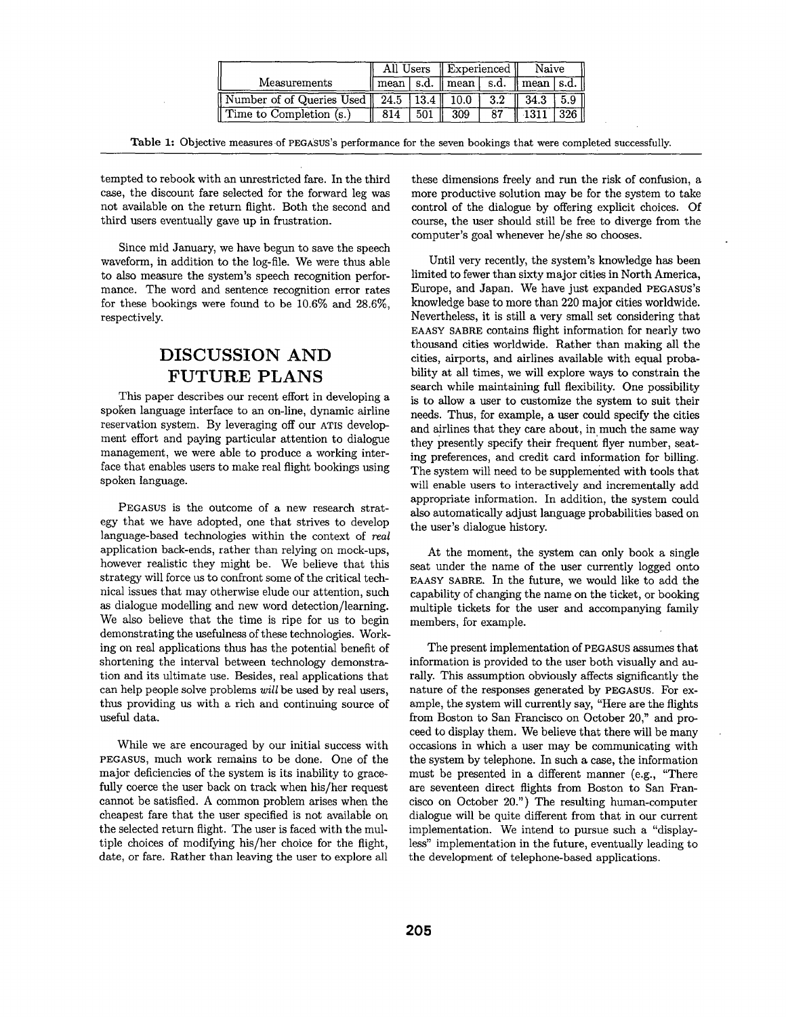|                                                |     |        | All Users    Experienced            |     | Naive                                         |        |
|------------------------------------------------|-----|--------|-------------------------------------|-----|-----------------------------------------------|--------|
| Measurements                                   |     |        | $\text{mean}$   s.d.    mean   s.d. |     | $\parallel$ mean $\parallel$ s.d. $\parallel$ |        |
| Number of of Queries Used   24.5   13.4   10.0 |     |        |                                     | 3.2 | 34.3                                          | 5.9 II |
| Time to Completion (s.)                        | 814 | 501 ll | -309                                | 87  | $-1311$                                       | 326    |

Table 1: Objective measures of PEGASUS's performance for the seven bookings that were completed successfully.

tempted to rebook with an unrestricted fare. In the third case, the discount fare selected for the forward leg was not available on the return flight. Both the second and third users eventually gave up in frustration.

Since mid January, we have begun to save the speech waveform, in addition to the log-file. We were thus able to also measure the system's speech recognition performance. The word and sentence recognition error rates for these bookings were found to be 10.6% and 28.6%, respectively.

# **DISCUSSION AND FUTURE PLANS**

This paper describes our recent effort in developing a spoken language interface to an on-line, dynamic airline reservation system. By leveraging off our ATIS development effort and paying particular attention to dialogue management, we were able to produce a working interface that enables users to make real flight bookings using spoken language.

PEGASUS is the outcome of a new research strategy that we have adopted, one that strives to develop language-based technologies within the context of *real*  application back-ends, rather than relying on mock-ups, however realistic they might be. We believe that this strategy will force us to confront some of the critical technical issues that may otherwise elude our attention, such as dialogue modelling and new word detection/learning. We also believe that the time is ripe for us to begin demonstrating the usefulness of these technologies. Working on real applications thus has the potential benefit of shortening the interval between technology demonstration and its ultimate use. Besides, real applications that can help people solve problems *will* be used by real users, thus providing us with a rich and continuing source of useful data.

While we are encouraged by our initial success with PEGASUS, much work remains to be done. One of the major deficiencies of the system is its inability to gracefully coerce the user back on track when his/her request cannot be satisfied. A common problem arises when the cheapest fare that the user specified is not available on the selected return flight. The user is faced with the multiple choices of modifying his/her choice for the flight, date, or fare. Rather than leaving the user to explore all these dimensions freely and run the risk of confusion, a more productive solution may be for the system to take control of the dialogue by offering explicit choices. Of course, the user should still be free to diverge from the computer's goal whenever he/she so chooses.

Until very recently, the system's knowledge has been limited to fewer than sixty major cities in North America, Europe, and Japan. We have just expanded PEGASUS'S knowledge base to more than 220 major cities worldwide. Nevertheless, it is still a very small set considering that EAASY SABRE contains flight information for nearly two thousand cities worldwide. Rather than making all the cities, airports, and airlines available with equal probability at all times, we will explore ways to constrain the search while maintaining full flexibility. One possibility is to allow a user to customize the system to suit their needs. Thus, for example, a user could specify the cities and airlines that they care about, in much the same way they presently specify their frequent flyer number, seating preferences, and credit card information for billing. The system will need to be supplemented with tools that will enable users to interactively and incrementally add appropriate information. In addition, the system could also automatically adjust language probabilities based on the user's dialogue history.

At the moment, the system can only book a single seat under the name of the user currently logged onto EAASY SABRE. In the future, we would like to add the capability of changing the name on the ticket, or booking multiple tickets for the user and accompanying family members, for example.

The present implementation of PEGASUS assumes that information is provided to the user both visually and aurally. This assumption obviously affects significantly the nature of the responses generated by PEGASUS. For example, the system will currently say, "Here are the flights from Boston to San Francisco on October 20," and proceed to display them. We believe that there will be many occasions in which a user may be communicating with the system by telephone. In such a case, the information must be presented in a different manner (e.g., "There are seventeen direct flights from Boston to San Francisco on October 20.") The resulting human-computer dialogue will be quite different from that in our current implementation. We intend to pursue such a "displayless" implementation in the future, eventually leading to the development of telephone-based applications.